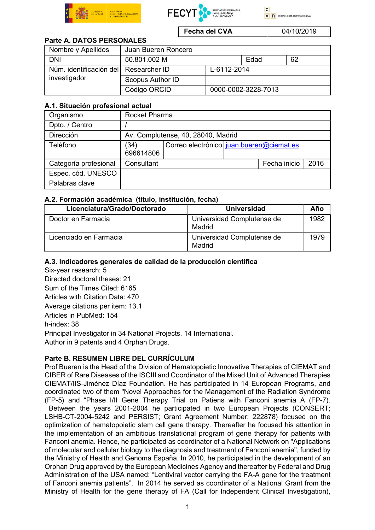





Fecha del CVA  $04/10/2019$ 

## Parte A. DATOS PERSONALES

| Nombre y Apellidos      | Juan Bueren Roncero |                     |      |    |
|-------------------------|---------------------|---------------------|------|----|
| <b>DNI</b>              | 50.801.002 M        |                     | Edad | 62 |
| Núm. identificación del | Researcher ID       | L-6112-2014         |      |    |
| investigador            | Scopus Author ID    |                     |      |    |
|                         | Código ORCID        | 0000-0002-3228-7013 |      |    |

## A.1. Situación profesional actual

| Organismo             | Rocket Pharma                      |                                          |  |              |      |  |
|-----------------------|------------------------------------|------------------------------------------|--|--------------|------|--|
| Dpto. / Centro        |                                    |                                          |  |              |      |  |
| Dirección             | Av. Complutense, 40, 28040, Madrid |                                          |  |              |      |  |
| Teléfono              | (34)<br>696614806                  | Correo electrónico iuan.bueren@ciemat.es |  |              |      |  |
| Categoría profesional | Consultant                         |                                          |  | Fecha inicio | 2016 |  |
| Espec. cód. UNESCO    |                                    |                                          |  |              |      |  |
| Palabras clave        |                                    |                                          |  |              |      |  |

#### A.2. Formación académica (titulo, institución, fecha)

| Licenciatura/Grado/Doctorado | <b>Universidad</b>                   | Año  |
|------------------------------|--------------------------------------|------|
| Doctor en Farmacia           | Universidad Complutense de<br>Madrid | 1982 |
| Licenciado en Farmacia       | Universidad Complutense de<br>Madrid | 1979 |

## A.3. Indicadores generales de calidad de la producción científica

Six-year research: 5 Directed doctoral theses: 21 Sum of the Times Cited: 6165 Articles with Citation Data: 470 Average citations per item: 13.1 Articles in PubMed: 154 h-index: 38 Principal Investigator in 34 National Projects, 14 International. Author in 9 patents and 4 Orphan Drugs.

## Parte B. RESUMEN LIBRE DEL CURRÍCULUM

Prof Bueren is the Head of the Division of Hematopoietic Innovative Therapies of CIEMAT and CIBER of Rare Diseases of the ISCIII and Coordinator of the Mixed Unit of Advanced Therapies CIEMAT/IIS-Jiménez Díaz Foundation. He has participated in 14 European Programs, and coordinated two of them "Novel Approaches for the Management of the Radiation Syndrome (FP-5) and "Phase I/II Gene Therapy Trial on Patiens with Fanconi anemia A (FP-7). Between the years 2001-2004 he participated in two European Projects (CONSERT; LSHB-CT-2004-5242 and PERSIST; Grant Agreement Number: 222878) focused on the optimization of hematopoietic stem cell gene therapy. Thereafter he focused his attention in the implementation of an ambitious translational program of gene therapy for patients with Fanconi anemia. Hence, he participated as coordinator of a National Network on "Applications of molecular and cellular biology to the diagnosis and treatment of Fanconi anemia", funded by the Ministry of Health and Genoma España. In 2010, he participated in the development of an Orphan Drug approved by the European Medicines Agency and thereafter by Federal and Drug Administration of the USA named: "Lentiviral vector carrying the FA-A gene for the treatment of Fanconi anemia patients". In 2014 he served as coordinator of a National Grant from the Ministry of Health for the gene therapy of FA (Call for Independent Clinical Investigation),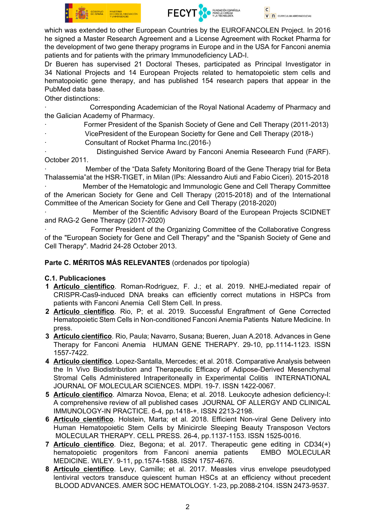



which was extended to other European Countries by the EUROFANCOLEN Project. In 2016 he signed a Master Research Agreement and a License Agreement with Rocket Pharma for the development of two gene therapy programs in Europe and in the USA for Fanconi anemia patients and for patients with the primary Immunodeficiency LAD-I.

Dr Bueren has supervised 21 Doctoral Theses, participated as Principal Investigator in 34 National Projects and 14 European Projects related to hematopoietic stem cells and hematopoietic gene therapy, and has published 154 research papers that appear in the PubMed data base.

Other distinctions:

Corresponding Academician of the Royal National Academy of Pharmacy and the Galician Academy of Pharmacy.

- Former President of the Spanish Society of Gene and Cell Therapy (2011-2013)
	- VicePresident of the European Societty for Gene and Cell Therapy (2018-)
		- · Consultant of Rocket Pharma Inc.(2016-)

Distinguished Service Award by Fanconi Anemia Reseearch Fund (FARF). October 2011.

Member of the "Data Safety Monitoring Board of the Gene Therapy trial for Beta Thalassemia"at the HSR-TIGET, in Milan (IPs: Alessandro Aiuti and Fabio Ciceri). 2015-2018

Member of the Hematologic and Immunologic Gene and Cell Therapy Committee of the American Society for Gene and Cell Therapy (2015-2018) and of the International Committee of the American Society for Gene and Cell Therapy (2018-2020)

Member of the Scientific Advisory Board of the European Projects SCIDNET and RAG-2 Gene Therapy (2017-2020)

· Former President of the Organizing Committee of the Collaborative Congress of the "European Society for Gene and Cell Therapy" and the "Spanish Society of Gene and Cell Therapy". Madrid 24-28 October 2013.

Parte C. MÉRITOS MÁS RELEVANTES (ordenados por tipología)

## C.1. Publicaciones

- 1 Artículo científico. Roman-Rodriguez, F. J.; et al. 2019. NHEJ-mediated repair of CRISPR-Cas9-induced DNA breaks can efficiently correct mutations in HSPCs from patients with Fanconi Anemia Cell Stem Cell. In press.
- 2 Artículo científico. Rio, P; et al. 2019. Successful Engraftment of Gene Corrected Hematopoietic Stem Cells in Non-conditioned Fanconi Anemia Patients Nature Medicine. In press.
- 3 Artículo científico. Rio, Paula; Navarro, Susana; Bueren, Juan A.2018. Advances in Gene Therapy for Fanconi Anemia HUMAN GENE THERAPY. 29-10, pp.1114-1123. ISSN 1557-7422.
- 4 Artículo científico. Lopez-Santalla, Mercedes; et al. 2018. Comparative Analysis between the In Vivo Biodistribution and Therapeutic Efficacy of Adipose-Derived Mesenchymal Stromal Cells Administered Intraperitoneally in Experimental Colitis INTERNATIONAL JOURNAL OF MOLECULAR SCIENCES. MDPI. 19-7. ISSN 1422-0067.
- 5 Artículo científico. Almarza Novoa, Elena; et al. 2018. Leukocyte adhesion deficiency-l: A comprehensive review of all published cases JOURNAL OF ALLERGY AND CLINICAL IMMUNOLOGY-IN PRACTICE. 6-4, pp.1418-+. ISSN 2213-2198.
- 6 Artículo científico. Holstein, Marta; et al. 2018. Efficient Non-viral Gene Delivery into Human Hematopoietic Stem Cells by Minicircle Sleeping Beauty Transposon Vectors MOLECULAR THERAPY. CELL PRESS. 26-4, pp.1137-1153. ISSN 1525-0016.
- 7 Artículo científico. Diez, Begona; et al. 2017. Therapeutic gene editing in CD34(+) hematopoietic progenitors from Fanconi anemia patients EMBO MOLECULAR MEDICINE. WILEY. 9-11, pp.1574-1588. ISSN 1757-4676.
- 8 Artículo científico. Levy, Camille; et al. 2017. Measles virus envelope pseudotyped lentiviral vectors transduce quiescent human HSCs at an efficiency without precedent BLOOD ADVANCES. AMER SOC HEMATOLOGY. 1-23, pp.2088-2104. ISSN 2473-9537.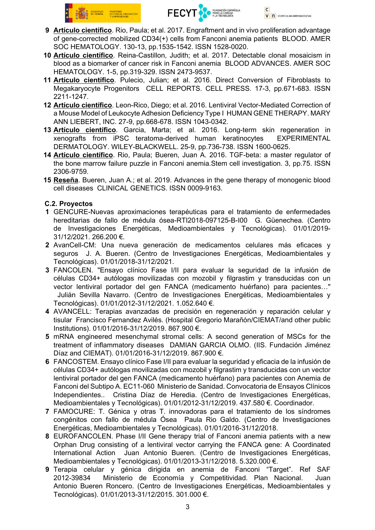



- 9 Artículo científico. Rio, Paula; et al. 2017. Engraftment and in vivo proliferation advantage of gene-corrected mobilized CD34(+) cells from Fanconi anemia patients BLOOD. AMER SOC HEMATOLOGY. 130-13, pp.1535-1542. ISSN 1528-0020.
- 10 Artículo científico. Reina-Castillon, Judith; et al. 2017. Detectable clonal mosaicism in blood as a biomarker of cancer risk in Fanconi anemia BLOOD ADVANCES. AMER SOC HEMATOLOGY. 1-5, pp.319-329. ISSN 2473-9537.
- 11 Artículo científico. Pulecio, Julian; et al. 2016. Direct Conversion of Fibroblasts to Megakaryocyte Progenitors CELL REPORTS. CELL PRESS. 17-3, pp.671-683. ISSN 2211-1247.
- 12 Artículo científico. Leon-Rico, Diego; et al. 2016. Lentiviral Vector-Mediated Correction of a Mouse Model of Leukocyte Adhesion Deficiency Type I HUMAN GENE THERAPY. MARY ANN LIEBERT, INC. 27-9, pp.668-678. ISSN 1043-0342.
- 13 Artículo científico. Garcia, Marta; et al. 2016. Long-term skin regeneration in xenografts from iPSC teratoma-derived human keratinocytes EXPERIMENTAL DERMATOLOGY. WILEY-BLACKWELL. 25-9, pp.736-738. ISSN 1600-0625.
- 14 Artículo científico. Rio, Paula; Bueren, Juan A. 2016. TGF-beta: a master regulator of the bone marrow failure puzzle in Fanconi anemia.Stem cell investigation. 3, pp.75. ISSN 2306-9759.
- 15 Reseña. Bueren, Juan A.; et al. 2019. Advances in the gene therapy of monogenic blood cell diseases CLINICAL GENETICS. ISSN 0009-9163.

# C.2. Proyectos

- 1 GENCURE-Nuevas aproximaciones terapéuticas para el tratamiento de enfermedades hereditarias de fallo de médula ósea-RTI2018-097125-B-I00 G. Güenechea. (Centro de Investigaciones Energéticas, Medioambientales y Tecnológicas). 01/01/2019- 31/12/2021. 266.200 €.
- 2 AvanCell-CM: Una nueva generación de medicamentos celulares más eficaces y seguros J. A. Bueren. (Centro de Investigaciones Energéticas, Medioambientales y Tecnológicas). 01/01/2018-31/12/2021.
- 3 FANCOLEN. "Ensayo clínico Fase I/II para evaluar la seguridad de la infusión de células CD34+ autólogas movilizadas con mozobil y filgrastim y transducidas con un vector lentiviral portador del gen FANCA (medicamento huérfano) para pacientes…" Julián Sevilla Navarro. (Centro de Investigaciones Energéticas, Medioambientales y Tecnológicas). 01/01/2012-31/12/2021. 1.052.640 €.
- 4 AVANCELL: Terapias avanzadas de precisión en regeneración y reparación celular y tisular Francisco Fernandez Avilés. (Hospital Gregorio Marañón/CIEMAT/and other public Institutions). 01/01/2016-31/12/2019. 867.900 €.
- 5 mRNA engineered mesenchymal stromal cells: A second generation of MSCs for the treatment of inflammatory diseases DAMIAN GARCIA OLMO. (IIS. Fundación Jiménez Díaz and CIEMAT). 01/01/2016-31/12/2019. 867.900 €.
- 6 FANCOSTEM. Ensayo clínico Fase I/II para evaluar la seguridad y eficacia de la infusión de células CD34+ autólogas movilizadas con mozobil y filgrastim y transducidas con un vector lentiviral portador del gen FANCA (medicamento huérfano) para pacientes con Anemia de Fanconi del Subtipo A. EC11-060 Ministerio de Sanidad. Convocatoria de Ensayos Clínicos Independientes.. Cristina Díaz de Heredia. (Centro de Investigaciones Energéticas, Medioambientales y Tecnológicas). 01/01/2012-31/12/2019. 437.580 €. Coordinador.
- 7 FAMOCURE: T. Génica y otras T. innovadoras para el tratamiento de los síndromes congénitos con fallo de médula Ósea Paula Rio Galdo. (Centro de Investigaciones Energéticas, Medioambientales y Tecnológicas). 01/01/2016-31/12/2018.
- 8 EUROFANCOLEN. Phase I/II Gene therapy trial of Fanconi anemia patients with a new Orphan Drug consisting of a lentiviral vector carrying the FANCA gene: A Coordinated International Action Juan Antonio Bueren. (Centro de Investigaciones Energéticas, Medioambientales y Tecnológicas). 01/01/2013-31/12/2018. 5.320.000 €.
- 9 Terapia celular y génica dirigida en anemia de Fanconi "Target". Ref SAF Ministerio de Economía y Competitividad. Plan Nacional. Juan Antonio Bueren Roncero. (Centro de Investigaciones Energéticas, Medioambientales y Tecnológicas). 01/01/2013-31/12/2015. 301.000 €.